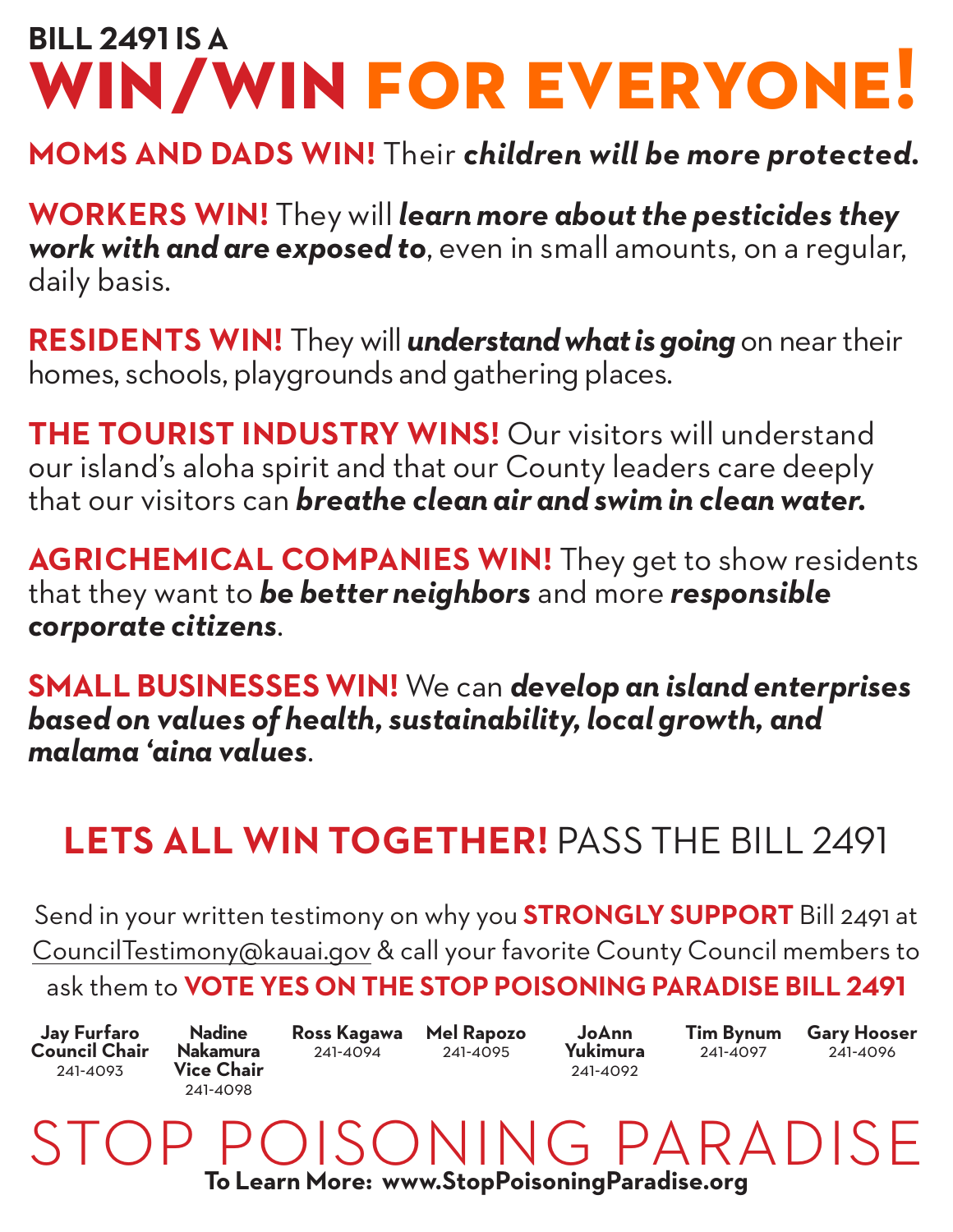## **BILL 2491 IS A win/win for everyone!**

#### **MOMS AND DADS WIN!** Their *children will be more protected.*

**WORKERS WIN!** They will *learn more about the pesticides they work with and are exposed to*, even in small amounts, on a regular, daily basis.

**RESIDENTS WIN!** They will *understand what is going* on near their homes, schools, playgrounds and gathering places.

**THE TOURIST INDUSTRY WINS!** Our visitors will understand our island's aloha spirit and that our County leaders care deeply that our visitors can *breathe clean air and swim in clean water.*

**AGRICHEMICAL COMPANIES WIN!** They get to show residents that they want to *be better neighbors* and more *responsible corporate citizens*.

**SMALL BUSINESSES WIN!** We can *develop an island enterprises based on values of health, sustainability, local growth, and malama 'aina values*.

### **LETS ALL WIN TOGETHER!** PASS THE BILL 2491

Send in your written testimony on why you **STRONGLY SUPPORT** Bill 2491 at CouncilTestimony@kauai.gov & call your favorite County Council members to ask them to **VOTE YES ON THE STOP POISONING PARADISE BILL 2491**

**Jay Furfaro Council Chair** 241-4093

**Nadine Nakamura Vice Chair**  241-4098

**Ross Kagawa Mel Rapozo** 241-4094

241-4095

**JoAnn Yukimura** 241-4092

**Tim Bynum** 241-4097

**Gary Hooser** 241-4096

ISONING PARADISE **To Learn More: www.StopPoisoningParadise.org**